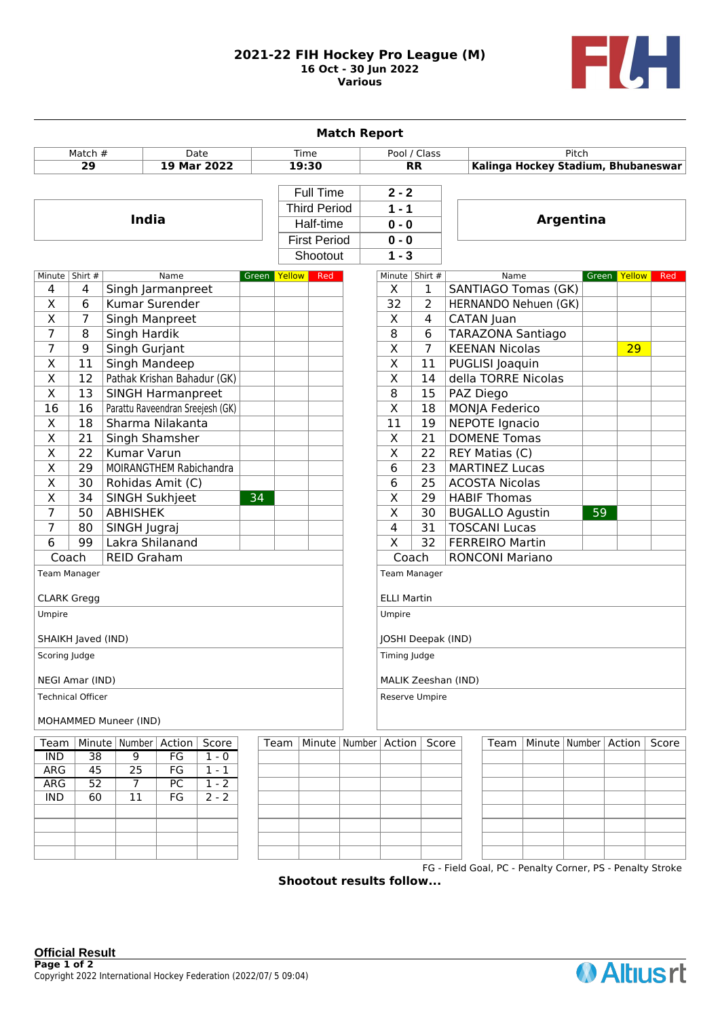## **2021-22 FIH Hockey Pro League (M) 16 Oct - 30 Jun 2022 Various**



| Pool / Class<br>Pitch<br>Match #<br>Date<br>Time<br>19 Mar 2022<br>19:30<br><b>RR</b><br>Kalinga Hockey Stadium, Bhubaneswar<br>29<br>Full Time<br>$2 - 2$<br><b>Third Period</b><br>$1 - 1$<br><b>India</b><br>Argentina<br>Half-time<br>$0 - 0$<br><b>First Period</b><br>$0 - 0$<br>Shootout<br>$1 - 3$<br>Minute   Shirt #<br>Minute   Shirt #<br>Name<br>Green Yellow<br>Red<br>Name<br>Green Yellow<br>Red<br>X<br><b>SANTIAGO Tomas (GK)</b><br>4<br>Singh Jarmanpreet<br>4<br>1<br>$\overline{32}$<br>$\overline{\mathsf{x}}$<br>Kumar Surender<br>6<br>$\overline{2}$<br>HERNANDO Nehuen (GK)<br>Χ<br>7<br>Singh Manpreet<br>X<br>4<br>CATAN Juan<br>7<br>8<br>8<br>Singh Hardik<br>6<br><b>TARAZONA Santiago</b><br>7<br>$\overline{9}$<br>Singh Gurjant<br>$\overline{\mathsf{x}}$<br>7<br><b>KEENAN Nicolas</b><br>29<br>$\overline{\mathsf{X}}$<br>$\overline{\mathsf{x}}$<br>11<br>Singh Mandeep<br>PUGLISI Joaquin<br>11<br>$\overline{\mathsf{X}}$<br>Pathak Krishan Bahadur (GK)<br>$\overline{\mathsf{x}}$<br>12<br>della TORRE Nicolas<br>14<br>$\overline{8}$<br>$\overline{\mathsf{x}}$<br>13<br><b>SINGH Harmanpreet</b><br>15<br>PAZ Diego<br>$\overline{16}$<br>$\overline{\mathsf{x}}$<br><b>MONJA Federico</b><br>16<br>Parattu Raveendran Sreejesh (GK)<br>18<br>$\overline{11}$<br><b>NEPOTE Ignacio</b><br>$\overline{\mathsf{x}}$<br>$\overline{18}$<br>Sharma Nilakanta<br>19<br><b>DOMENE Tomas</b><br>$\overline{\mathsf{x}}$<br><b>Singh Shamsher</b><br>$\overline{\mathsf{x}}$<br>21<br>21<br>$\overline{\mathsf{x}}$<br>$\overline{\mathsf{x}}$<br><b>Kumar Varun</b><br>22<br>22<br>REY Matias (C)<br>$\overline{6}$<br>$\overline{\mathsf{x}}$<br>29<br>MOIRANGTHEM Rabichandra<br>23<br><b>MARTINEZ Lucas</b><br>$\overline{\mathsf{x}}$<br>6<br>30<br>25<br><b>ACOSTA Nicolas</b><br>Rohidas Amit (C)<br>$\overline{\mathsf{x}}$<br>$\overline{\mathsf{x}}$<br>$\overline{34}$<br><b>HABIF Thomas</b><br>SINGH Sukhjeet<br>34<br>29<br>7<br>$\overline{\mathsf{x}}$<br>$\overline{50}$<br><b>ABHISHEK</b><br>30<br><b>BUGALLO Agustin</b><br>59<br>7<br>$\overline{4}$<br>80<br>31<br><b>TOSCANI Lucas</b><br>SINGH Jugraj<br>$\overline{6}$<br>$\overline{\mathsf{x}}$<br>Lakra Shilanand<br>$\overline{32}$<br>99<br><b>FERREIRO Martin</b><br>Coach<br>Coach<br><b>REID Graham</b><br><b>RONCONI Mariano</b><br>Team Manager<br><b>Team Manager</b><br><b>CLARK Gregg</b><br><b>ELLI Martin</b><br>Umpire<br>Umpire<br>SHAIKH Javed (IND)<br>JOSHI Deepak (IND)<br>Scoring Judge<br>Timing Judge<br>NEGI Amar (IND)<br>MALIK Zeeshan (IND) |  |  |  |  |  |  |  |  | <b>Match Report</b> |  |  |                                              |  |  |  |  |  |
|----------------------------------------------------------------------------------------------------------------------------------------------------------------------------------------------------------------------------------------------------------------------------------------------------------------------------------------------------------------------------------------------------------------------------------------------------------------------------------------------------------------------------------------------------------------------------------------------------------------------------------------------------------------------------------------------------------------------------------------------------------------------------------------------------------------------------------------------------------------------------------------------------------------------------------------------------------------------------------------------------------------------------------------------------------------------------------------------------------------------------------------------------------------------------------------------------------------------------------------------------------------------------------------------------------------------------------------------------------------------------------------------------------------------------------------------------------------------------------------------------------------------------------------------------------------------------------------------------------------------------------------------------------------------------------------------------------------------------------------------------------------------------------------------------------------------------------------------------------------------------------------------------------------------------------------------------------------------------------------------------------------------------------------------------------------------------------------------------------------------------------------------------------------------------------------------------------------------------------------------------------------------------------------------------------------------------------------------------------------------------------------------------------------------------------------------------------------------------------------------------------------------------------------------------------------------------------------|--|--|--|--|--|--|--|--|---------------------|--|--|----------------------------------------------|--|--|--|--|--|
|                                                                                                                                                                                                                                                                                                                                                                                                                                                                                                                                                                                                                                                                                                                                                                                                                                                                                                                                                                                                                                                                                                                                                                                                                                                                                                                                                                                                                                                                                                                                                                                                                                                                                                                                                                                                                                                                                                                                                                                                                                                                                                                                                                                                                                                                                                                                                                                                                                                                                                                                                                                        |  |  |  |  |  |  |  |  |                     |  |  |                                              |  |  |  |  |  |
|                                                                                                                                                                                                                                                                                                                                                                                                                                                                                                                                                                                                                                                                                                                                                                                                                                                                                                                                                                                                                                                                                                                                                                                                                                                                                                                                                                                                                                                                                                                                                                                                                                                                                                                                                                                                                                                                                                                                                                                                                                                                                                                                                                                                                                                                                                                                                                                                                                                                                                                                                                                        |  |  |  |  |  |  |  |  |                     |  |  |                                              |  |  |  |  |  |
|                                                                                                                                                                                                                                                                                                                                                                                                                                                                                                                                                                                                                                                                                                                                                                                                                                                                                                                                                                                                                                                                                                                                                                                                                                                                                                                                                                                                                                                                                                                                                                                                                                                                                                                                                                                                                                                                                                                                                                                                                                                                                                                                                                                                                                                                                                                                                                                                                                                                                                                                                                                        |  |  |  |  |  |  |  |  |                     |  |  |                                              |  |  |  |  |  |
|                                                                                                                                                                                                                                                                                                                                                                                                                                                                                                                                                                                                                                                                                                                                                                                                                                                                                                                                                                                                                                                                                                                                                                                                                                                                                                                                                                                                                                                                                                                                                                                                                                                                                                                                                                                                                                                                                                                                                                                                                                                                                                                                                                                                                                                                                                                                                                                                                                                                                                                                                                                        |  |  |  |  |  |  |  |  |                     |  |  |                                              |  |  |  |  |  |
|                                                                                                                                                                                                                                                                                                                                                                                                                                                                                                                                                                                                                                                                                                                                                                                                                                                                                                                                                                                                                                                                                                                                                                                                                                                                                                                                                                                                                                                                                                                                                                                                                                                                                                                                                                                                                                                                                                                                                                                                                                                                                                                                                                                                                                                                                                                                                                                                                                                                                                                                                                                        |  |  |  |  |  |  |  |  |                     |  |  |                                              |  |  |  |  |  |
|                                                                                                                                                                                                                                                                                                                                                                                                                                                                                                                                                                                                                                                                                                                                                                                                                                                                                                                                                                                                                                                                                                                                                                                                                                                                                                                                                                                                                                                                                                                                                                                                                                                                                                                                                                                                                                                                                                                                                                                                                                                                                                                                                                                                                                                                                                                                                                                                                                                                                                                                                                                        |  |  |  |  |  |  |  |  |                     |  |  |                                              |  |  |  |  |  |
|                                                                                                                                                                                                                                                                                                                                                                                                                                                                                                                                                                                                                                                                                                                                                                                                                                                                                                                                                                                                                                                                                                                                                                                                                                                                                                                                                                                                                                                                                                                                                                                                                                                                                                                                                                                                                                                                                                                                                                                                                                                                                                                                                                                                                                                                                                                                                                                                                                                                                                                                                                                        |  |  |  |  |  |  |  |  |                     |  |  |                                              |  |  |  |  |  |
|                                                                                                                                                                                                                                                                                                                                                                                                                                                                                                                                                                                                                                                                                                                                                                                                                                                                                                                                                                                                                                                                                                                                                                                                                                                                                                                                                                                                                                                                                                                                                                                                                                                                                                                                                                                                                                                                                                                                                                                                                                                                                                                                                                                                                                                                                                                                                                                                                                                                                                                                                                                        |  |  |  |  |  |  |  |  |                     |  |  |                                              |  |  |  |  |  |
|                                                                                                                                                                                                                                                                                                                                                                                                                                                                                                                                                                                                                                                                                                                                                                                                                                                                                                                                                                                                                                                                                                                                                                                                                                                                                                                                                                                                                                                                                                                                                                                                                                                                                                                                                                                                                                                                                                                                                                                                                                                                                                                                                                                                                                                                                                                                                                                                                                                                                                                                                                                        |  |  |  |  |  |  |  |  |                     |  |  |                                              |  |  |  |  |  |
|                                                                                                                                                                                                                                                                                                                                                                                                                                                                                                                                                                                                                                                                                                                                                                                                                                                                                                                                                                                                                                                                                                                                                                                                                                                                                                                                                                                                                                                                                                                                                                                                                                                                                                                                                                                                                                                                                                                                                                                                                                                                                                                                                                                                                                                                                                                                                                                                                                                                                                                                                                                        |  |  |  |  |  |  |  |  |                     |  |  |                                              |  |  |  |  |  |
|                                                                                                                                                                                                                                                                                                                                                                                                                                                                                                                                                                                                                                                                                                                                                                                                                                                                                                                                                                                                                                                                                                                                                                                                                                                                                                                                                                                                                                                                                                                                                                                                                                                                                                                                                                                                                                                                                                                                                                                                                                                                                                                                                                                                                                                                                                                                                                                                                                                                                                                                                                                        |  |  |  |  |  |  |  |  |                     |  |  |                                              |  |  |  |  |  |
|                                                                                                                                                                                                                                                                                                                                                                                                                                                                                                                                                                                                                                                                                                                                                                                                                                                                                                                                                                                                                                                                                                                                                                                                                                                                                                                                                                                                                                                                                                                                                                                                                                                                                                                                                                                                                                                                                                                                                                                                                                                                                                                                                                                                                                                                                                                                                                                                                                                                                                                                                                                        |  |  |  |  |  |  |  |  |                     |  |  |                                              |  |  |  |  |  |
|                                                                                                                                                                                                                                                                                                                                                                                                                                                                                                                                                                                                                                                                                                                                                                                                                                                                                                                                                                                                                                                                                                                                                                                                                                                                                                                                                                                                                                                                                                                                                                                                                                                                                                                                                                                                                                                                                                                                                                                                                                                                                                                                                                                                                                                                                                                                                                                                                                                                                                                                                                                        |  |  |  |  |  |  |  |  |                     |  |  |                                              |  |  |  |  |  |
|                                                                                                                                                                                                                                                                                                                                                                                                                                                                                                                                                                                                                                                                                                                                                                                                                                                                                                                                                                                                                                                                                                                                                                                                                                                                                                                                                                                                                                                                                                                                                                                                                                                                                                                                                                                                                                                                                                                                                                                                                                                                                                                                                                                                                                                                                                                                                                                                                                                                                                                                                                                        |  |  |  |  |  |  |  |  |                     |  |  |                                              |  |  |  |  |  |
|                                                                                                                                                                                                                                                                                                                                                                                                                                                                                                                                                                                                                                                                                                                                                                                                                                                                                                                                                                                                                                                                                                                                                                                                                                                                                                                                                                                                                                                                                                                                                                                                                                                                                                                                                                                                                                                                                                                                                                                                                                                                                                                                                                                                                                                                                                                                                                                                                                                                                                                                                                                        |  |  |  |  |  |  |  |  |                     |  |  |                                              |  |  |  |  |  |
|                                                                                                                                                                                                                                                                                                                                                                                                                                                                                                                                                                                                                                                                                                                                                                                                                                                                                                                                                                                                                                                                                                                                                                                                                                                                                                                                                                                                                                                                                                                                                                                                                                                                                                                                                                                                                                                                                                                                                                                                                                                                                                                                                                                                                                                                                                                                                                                                                                                                                                                                                                                        |  |  |  |  |  |  |  |  |                     |  |  |                                              |  |  |  |  |  |
|                                                                                                                                                                                                                                                                                                                                                                                                                                                                                                                                                                                                                                                                                                                                                                                                                                                                                                                                                                                                                                                                                                                                                                                                                                                                                                                                                                                                                                                                                                                                                                                                                                                                                                                                                                                                                                                                                                                                                                                                                                                                                                                                                                                                                                                                                                                                                                                                                                                                                                                                                                                        |  |  |  |  |  |  |  |  |                     |  |  |                                              |  |  |  |  |  |
|                                                                                                                                                                                                                                                                                                                                                                                                                                                                                                                                                                                                                                                                                                                                                                                                                                                                                                                                                                                                                                                                                                                                                                                                                                                                                                                                                                                                                                                                                                                                                                                                                                                                                                                                                                                                                                                                                                                                                                                                                                                                                                                                                                                                                                                                                                                                                                                                                                                                                                                                                                                        |  |  |  |  |  |  |  |  |                     |  |  |                                              |  |  |  |  |  |
|                                                                                                                                                                                                                                                                                                                                                                                                                                                                                                                                                                                                                                                                                                                                                                                                                                                                                                                                                                                                                                                                                                                                                                                                                                                                                                                                                                                                                                                                                                                                                                                                                                                                                                                                                                                                                                                                                                                                                                                                                                                                                                                                                                                                                                                                                                                                                                                                                                                                                                                                                                                        |  |  |  |  |  |  |  |  |                     |  |  |                                              |  |  |  |  |  |
|                                                                                                                                                                                                                                                                                                                                                                                                                                                                                                                                                                                                                                                                                                                                                                                                                                                                                                                                                                                                                                                                                                                                                                                                                                                                                                                                                                                                                                                                                                                                                                                                                                                                                                                                                                                                                                                                                                                                                                                                                                                                                                                                                                                                                                                                                                                                                                                                                                                                                                                                                                                        |  |  |  |  |  |  |  |  |                     |  |  |                                              |  |  |  |  |  |
|                                                                                                                                                                                                                                                                                                                                                                                                                                                                                                                                                                                                                                                                                                                                                                                                                                                                                                                                                                                                                                                                                                                                                                                                                                                                                                                                                                                                                                                                                                                                                                                                                                                                                                                                                                                                                                                                                                                                                                                                                                                                                                                                                                                                                                                                                                                                                                                                                                                                                                                                                                                        |  |  |  |  |  |  |  |  |                     |  |  |                                              |  |  |  |  |  |
|                                                                                                                                                                                                                                                                                                                                                                                                                                                                                                                                                                                                                                                                                                                                                                                                                                                                                                                                                                                                                                                                                                                                                                                                                                                                                                                                                                                                                                                                                                                                                                                                                                                                                                                                                                                                                                                                                                                                                                                                                                                                                                                                                                                                                                                                                                                                                                                                                                                                                                                                                                                        |  |  |  |  |  |  |  |  |                     |  |  |                                              |  |  |  |  |  |
|                                                                                                                                                                                                                                                                                                                                                                                                                                                                                                                                                                                                                                                                                                                                                                                                                                                                                                                                                                                                                                                                                                                                                                                                                                                                                                                                                                                                                                                                                                                                                                                                                                                                                                                                                                                                                                                                                                                                                                                                                                                                                                                                                                                                                                                                                                                                                                                                                                                                                                                                                                                        |  |  |  |  |  |  |  |  |                     |  |  |                                              |  |  |  |  |  |
|                                                                                                                                                                                                                                                                                                                                                                                                                                                                                                                                                                                                                                                                                                                                                                                                                                                                                                                                                                                                                                                                                                                                                                                                                                                                                                                                                                                                                                                                                                                                                                                                                                                                                                                                                                                                                                                                                                                                                                                                                                                                                                                                                                                                                                                                                                                                                                                                                                                                                                                                                                                        |  |  |  |  |  |  |  |  |                     |  |  |                                              |  |  |  |  |  |
|                                                                                                                                                                                                                                                                                                                                                                                                                                                                                                                                                                                                                                                                                                                                                                                                                                                                                                                                                                                                                                                                                                                                                                                                                                                                                                                                                                                                                                                                                                                                                                                                                                                                                                                                                                                                                                                                                                                                                                                                                                                                                                                                                                                                                                                                                                                                                                                                                                                                                                                                                                                        |  |  |  |  |  |  |  |  |                     |  |  |                                              |  |  |  |  |  |
|                                                                                                                                                                                                                                                                                                                                                                                                                                                                                                                                                                                                                                                                                                                                                                                                                                                                                                                                                                                                                                                                                                                                                                                                                                                                                                                                                                                                                                                                                                                                                                                                                                                                                                                                                                                                                                                                                                                                                                                                                                                                                                                                                                                                                                                                                                                                                                                                                                                                                                                                                                                        |  |  |  |  |  |  |  |  |                     |  |  |                                              |  |  |  |  |  |
|                                                                                                                                                                                                                                                                                                                                                                                                                                                                                                                                                                                                                                                                                                                                                                                                                                                                                                                                                                                                                                                                                                                                                                                                                                                                                                                                                                                                                                                                                                                                                                                                                                                                                                                                                                                                                                                                                                                                                                                                                                                                                                                                                                                                                                                                                                                                                                                                                                                                                                                                                                                        |  |  |  |  |  |  |  |  |                     |  |  |                                              |  |  |  |  |  |
|                                                                                                                                                                                                                                                                                                                                                                                                                                                                                                                                                                                                                                                                                                                                                                                                                                                                                                                                                                                                                                                                                                                                                                                                                                                                                                                                                                                                                                                                                                                                                                                                                                                                                                                                                                                                                                                                                                                                                                                                                                                                                                                                                                                                                                                                                                                                                                                                                                                                                                                                                                                        |  |  |  |  |  |  |  |  |                     |  |  | Minute   Number  <br>Action<br>Score<br>Team |  |  |  |  |  |
|                                                                                                                                                                                                                                                                                                                                                                                                                                                                                                                                                                                                                                                                                                                                                                                                                                                                                                                                                                                                                                                                                                                                                                                                                                                                                                                                                                                                                                                                                                                                                                                                                                                                                                                                                                                                                                                                                                                                                                                                                                                                                                                                                                                                                                                                                                                                                                                                                                                                                                                                                                                        |  |  |  |  |  |  |  |  |                     |  |  |                                              |  |  |  |  |  |
|                                                                                                                                                                                                                                                                                                                                                                                                                                                                                                                                                                                                                                                                                                                                                                                                                                                                                                                                                                                                                                                                                                                                                                                                                                                                                                                                                                                                                                                                                                                                                                                                                                                                                                                                                                                                                                                                                                                                                                                                                                                                                                                                                                                                                                                                                                                                                                                                                                                                                                                                                                                        |  |  |  |  |  |  |  |  |                     |  |  |                                              |  |  |  |  |  |
|                                                                                                                                                                                                                                                                                                                                                                                                                                                                                                                                                                                                                                                                                                                                                                                                                                                                                                                                                                                                                                                                                                                                                                                                                                                                                                                                                                                                                                                                                                                                                                                                                                                                                                                                                                                                                                                                                                                                                                                                                                                                                                                                                                                                                                                                                                                                                                                                                                                                                                                                                                                        |  |  |  |  |  |  |  |  |                     |  |  |                                              |  |  |  |  |  |
|                                                                                                                                                                                                                                                                                                                                                                                                                                                                                                                                                                                                                                                                                                                                                                                                                                                                                                                                                                                                                                                                                                                                                                                                                                                                                                                                                                                                                                                                                                                                                                                                                                                                                                                                                                                                                                                                                                                                                                                                                                                                                                                                                                                                                                                                                                                                                                                                                                                                                                                                                                                        |  |  |  |  |  |  |  |  |                     |  |  |                                              |  |  |  |  |  |
|                                                                                                                                                                                                                                                                                                                                                                                                                                                                                                                                                                                                                                                                                                                                                                                                                                                                                                                                                                                                                                                                                                                                                                                                                                                                                                                                                                                                                                                                                                                                                                                                                                                                                                                                                                                                                                                                                                                                                                                                                                                                                                                                                                                                                                                                                                                                                                                                                                                                                                                                                                                        |  |  |  |  |  |  |  |  |                     |  |  |                                              |  |  |  |  |  |
|                                                                                                                                                                                                                                                                                                                                                                                                                                                                                                                                                                                                                                                                                                                                                                                                                                                                                                                                                                                                                                                                                                                                                                                                                                                                                                                                                                                                                                                                                                                                                                                                                                                                                                                                                                                                                                                                                                                                                                                                                                                                                                                                                                                                                                                                                                                                                                                                                                                                                                                                                                                        |  |  |  |  |  |  |  |  |                     |  |  |                                              |  |  |  |  |  |
|                                                                                                                                                                                                                                                                                                                                                                                                                                                                                                                                                                                                                                                                                                                                                                                                                                                                                                                                                                                                                                                                                                                                                                                                                                                                                                                                                                                                                                                                                                                                                                                                                                                                                                                                                                                                                                                                                                                                                                                                                                                                                                                                                                                                                                                                                                                                                                                                                                                                                                                                                                                        |  |  |  |  |  |  |  |  |                     |  |  |                                              |  |  |  |  |  |
| <b>Technical Officer</b><br><b>Reserve Umpire</b>                                                                                                                                                                                                                                                                                                                                                                                                                                                                                                                                                                                                                                                                                                                                                                                                                                                                                                                                                                                                                                                                                                                                                                                                                                                                                                                                                                                                                                                                                                                                                                                                                                                                                                                                                                                                                                                                                                                                                                                                                                                                                                                                                                                                                                                                                                                                                                                                                                                                                                                                      |  |  |  |  |  |  |  |  |                     |  |  |                                              |  |  |  |  |  |
| MOHAMMED Muneer (IND)                                                                                                                                                                                                                                                                                                                                                                                                                                                                                                                                                                                                                                                                                                                                                                                                                                                                                                                                                                                                                                                                                                                                                                                                                                                                                                                                                                                                                                                                                                                                                                                                                                                                                                                                                                                                                                                                                                                                                                                                                                                                                                                                                                                                                                                                                                                                                                                                                                                                                                                                                                  |  |  |  |  |  |  |  |  |                     |  |  |                                              |  |  |  |  |  |
| Minute   Number   Action<br>Minute   Number   Action<br>Score<br>Score<br>Team<br>Team                                                                                                                                                                                                                                                                                                                                                                                                                                                                                                                                                                                                                                                                                                                                                                                                                                                                                                                                                                                                                                                                                                                                                                                                                                                                                                                                                                                                                                                                                                                                                                                                                                                                                                                                                                                                                                                                                                                                                                                                                                                                                                                                                                                                                                                                                                                                                                                                                                                                                                 |  |  |  |  |  |  |  |  |                     |  |  |                                              |  |  |  |  |  |
| 9<br>38<br>FG<br><b>IND</b><br>$1 - 0$                                                                                                                                                                                                                                                                                                                                                                                                                                                                                                                                                                                                                                                                                                                                                                                                                                                                                                                                                                                                                                                                                                                                                                                                                                                                                                                                                                                                                                                                                                                                                                                                                                                                                                                                                                                                                                                                                                                                                                                                                                                                                                                                                                                                                                                                                                                                                                                                                                                                                                                                                 |  |  |  |  |  |  |  |  |                     |  |  |                                              |  |  |  |  |  |
| $\overline{25}$<br>ARG<br>45<br>FG<br>$1 - 1$                                                                                                                                                                                                                                                                                                                                                                                                                                                                                                                                                                                                                                                                                                                                                                                                                                                                                                                                                                                                                                                                                                                                                                                                                                                                                                                                                                                                                                                                                                                                                                                                                                                                                                                                                                                                                                                                                                                                                                                                                                                                                                                                                                                                                                                                                                                                                                                                                                                                                                                                          |  |  |  |  |  |  |  |  |                     |  |  |                                              |  |  |  |  |  |
| $\overline{52}$<br>ARG<br>$\overline{7}$<br>PC<br>$1 - 2$                                                                                                                                                                                                                                                                                                                                                                                                                                                                                                                                                                                                                                                                                                                                                                                                                                                                                                                                                                                                                                                                                                                                                                                                                                                                                                                                                                                                                                                                                                                                                                                                                                                                                                                                                                                                                                                                                                                                                                                                                                                                                                                                                                                                                                                                                                                                                                                                                                                                                                                              |  |  |  |  |  |  |  |  |                     |  |  |                                              |  |  |  |  |  |
| <b>IND</b><br>60<br>FG<br>$2 - 2$<br>11                                                                                                                                                                                                                                                                                                                                                                                                                                                                                                                                                                                                                                                                                                                                                                                                                                                                                                                                                                                                                                                                                                                                                                                                                                                                                                                                                                                                                                                                                                                                                                                                                                                                                                                                                                                                                                                                                                                                                                                                                                                                                                                                                                                                                                                                                                                                                                                                                                                                                                                                                |  |  |  |  |  |  |  |  |                     |  |  |                                              |  |  |  |  |  |

FG - Field Goal, PC - Penalty Corner, PS - Penalty Stroke

**Shootout results follow...**